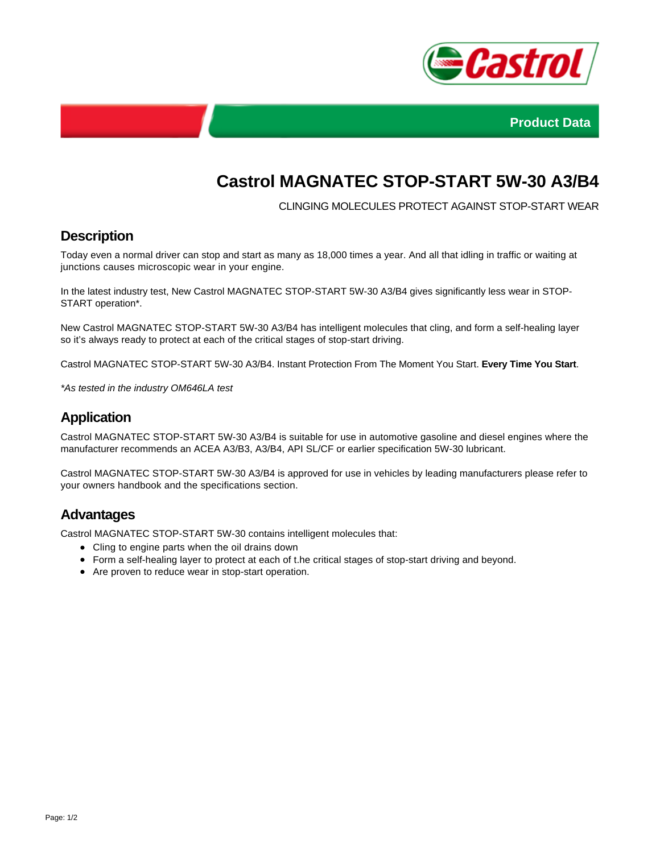



# **Castrol MAGNATEC STOP-START 5W-30 A3/B4**

CLINGING MOLECULES PROTECT AGAINST STOP-START WEAR

#### **Description**

Today even a normal driver can stop and start as many as 18,000 times a year. And all that idling in traffic or waiting at junctions causes microscopic wear in your engine.

In the latest industry test, New Castrol MAGNATEC STOP-START 5W-30 A3/B4 gives significantly less wear in STOP-START operation\*.

New Castrol MAGNATEC STOP-START 5W-30 A3/B4 has intelligent molecules that cling, and form a self-healing layer so it's always ready to protect at each of the critical stages of stop-start driving.

Castrol MAGNATEC STOP-START 5W-30 A3/B4. Instant Protection From The Moment You Start. **Every Time You Start**.

\*As tested in the industry OM646LA test

### **Application**

Castrol MAGNATEC STOP-START 5W-30 A3/B4 is suitable for use in automotive gasoline and diesel engines where the manufacturer recommends an ACEA A3/B3, A3/B4, API SL/CF or earlier specification 5W-30 lubricant.

Castrol MAGNATEC STOP-START 5W-30 A3/B4 is approved for use in vehicles by leading manufacturers please refer to your owners handbook and the specifications section.

#### **Advantages**

Castrol MAGNATEC STOP-START 5W-30 contains intelligent molecules that:

- Cling to engine parts when the oil drains down
- Form a self-healing layer to protect at each of t.he critical stages of stop-start driving and beyond.
- Are proven to reduce wear in stop-start operation.